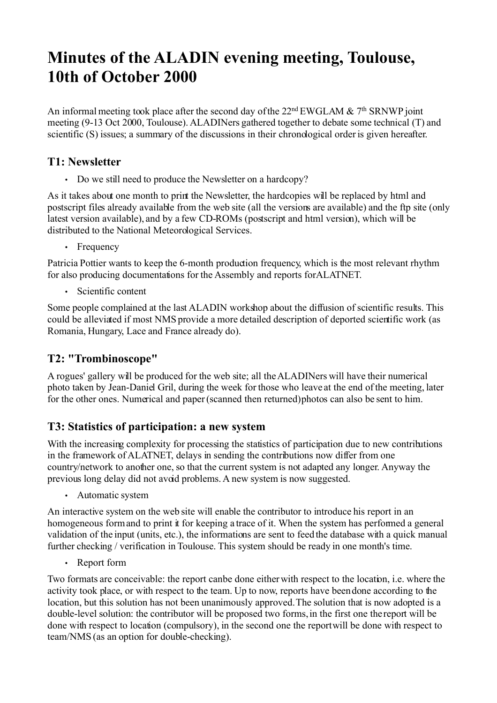# **Minutes of the ALADIN evening meeting, Toulouse, 10th of October 2000**

An informal meeting took place after the second day of the  $22<sup>nd</sup> EWGLAM & 7<sup>th</sup> SRNWP joint$ meeting (9-13 Oct 2000, Toulouse). ALADINers gathered together to debate some technical (T) and scientific (S) issues; a summary of the discussions in their chronological order is given hereafter.

## **T1: Newsletter**

• Do we still need to produce the Newsletter on a hardcopy?

As it takes about one month to print the Newsletter, the hardcopies will be replaced by html and postscript files already available from the web site (all the versions are available) and the ftp site (only latest version available), and by a few CD-ROMs (postscript and html version), which will be distributed to the National Meteorological Services.

• Frequency

Patricia Pottier wants to keep the 6-month production frequency, which is the most relevant rhythm for also producing documentations for the Assembly and reports forALATNET.

• Scientific content

Some people complained at the last ALADIN workshop about the diffusion of scientific results. This could be alleviated if most NMS provide a more detailed description of deported scientific work (as Romania, Hungary, Lace and France already do).

## **T2: "Trombinoscope"**

A rogues' gallery will be produced for the web site; all the ALADINers will have their numerical photo taken by Jean-Daniel Gril, during the week for those who leave at the end of the meeting, later for the other ones. Numerical and paper (scanned then returned) photos can also be sent to him.

## **T3: Statistics of participation: a new system**

With the increasing complexity for processing the statistics of participation due to new contributions in the framework of ALATNET, delays in sending the contributions now differ from one country/network to another one, so that the current system is not adapted any longer. Anyway the previous long delay did not avoid problems. A new system is now suggested.

• Automatic system

An interactive system on the web site will enable the contributor to introduce his report in an homogeneous form and to print it for keeping a trace of it. When the system has performed a general validation of the input (units, etc.), the informations are sent to feed the database with a quick manual further checking / verification in Toulouse. This system should be ready in one month's time.

• Report form

Two formats are conceivable: the report canbe done either with respect to the location, i.e. where the activity took place, or with respect to the team. Up to now, reports have been done according to the location, but this solution has not been unanimously approved. The solution that is now adopted is a double-level solution: the contributor will be proposed two forms, in the first one the report will be done with respect to location (compulsory), in the second one the report will be done with respect to team/NMS (as an option for double-checking).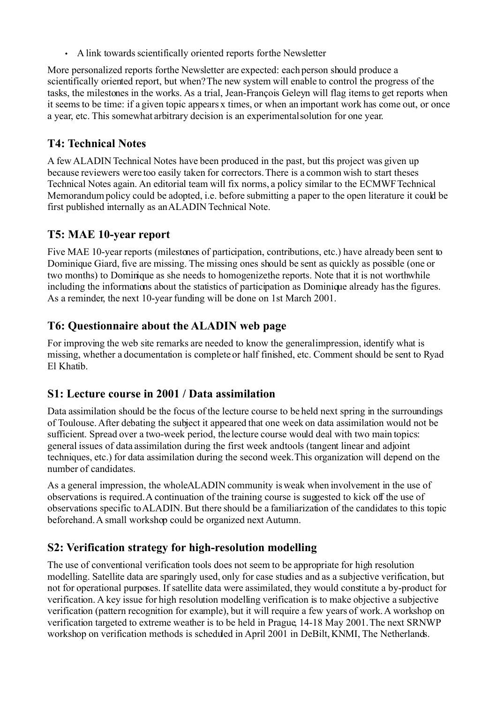• A link towards scientifically oriented reports for the Newsletter

More personalized reports for the Newsletter are expected: each person should produce a scientifically oriented report, but when? The new system will enable to control the progress of the tasks, the milestones in the works. As a trial, Jean-François Geleyn will flag items to get reports when it seems to be time: if a given topic appears x times, or when an important work has come out, or once a year, etc. This somewhat arbitrary decision is an experimental solution for one year.

#### **T4: Technical Notes**

A few ALADIN Technical Notes have been produced in the past, but this project was given up because reviewers were too easily taken for correctors.There is a common wish to start theses Technical Notes again. An editorial team will fix norms, a policy similar to the ECMWF Technical Memorandum policy could be adopted, i.e. before submitting a paper to the open literature it could be first published internally as an ALADIN Technical Note.

### **T5: MAE 10-year report**

Five MAE 10-year reports (milestones of participation, contributions, etc.) have already been sent to Dominique Giard, five are missing. The missing ones should be sent as quickly as possible (one or two months) to Dominique as she needs to homogenize the reports. Note that it is not worthwhile including the informations about the statistics of participation as Dominique already has the figures. As a reminder, the next 10-year funding will be done on 1st March 2001.

### **T6: Questionnaire about the ALADIN web page**

For improving the web site remarks are needed to know the general impression, identify what is missing, whether a documentation is complete or half finished, etc. Comment should be sent to Ryad El Khatib.

#### **S1: Lecture course in 2001 / Data assimilation**

Data assimilation should be the focus of the lecture course to be held next spring in the surroundings of Toulouse. After debating the subject it appeared that one week on data assimilation would not be sufficient. Spread over a two-week period, the lecture course would deal with two main topics: general issues of data assimilation during the first week and tools (tangent linear and adjoint techniques, etc.) for data assimilation during the second week.This organization will depend on the number of candidates.

As a general impression, the whole ALADIN community is weak when involvement in the use of observations is required. A continuation of the training course is suggested to kick off the use of observations specific to ALADIN. But there should be a familiarization of the candidates to this topic beforehand.A small workshop could be organized next Autumn.

## **S2: Verification strategy for high-resolution modelling**

The use of conventional verification tools does not seem to be appropriate for high resolution modelling. Satellite data are sparingly used, only for case studies and as a subjective verification, but not for operational purposes. If satellite data were assimilated, they would constitute a by-product for verification. A key issue for high resolution modelling verification is to make objective a subjective verification (pattern recognition for example), but it will require a few years of work. A workshop on verification targeted to extreme weather is to be held in Prague, 14-18 May 2001. The next SRNWP workshop on verification methods is scheduled in April 2001 in DeBilt, KNMI, The Netherlands.